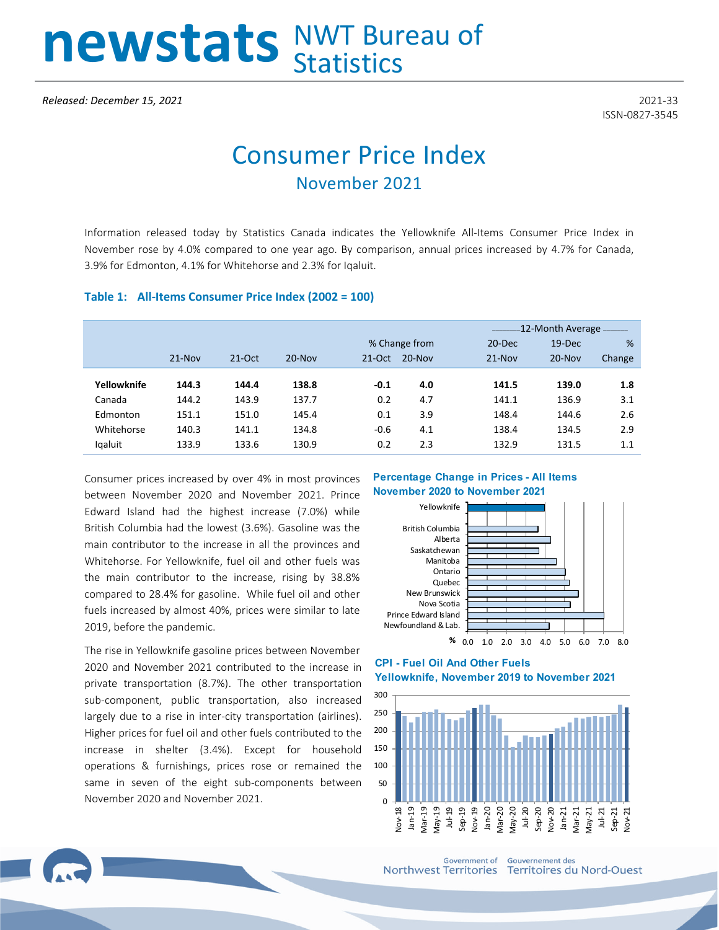# newstats NWT Bureau of

ISSN-0827-3545

## Consumer Price Index November 2021

Information released today by Statistics Canada indicates the Yellowknife All-Items Consumer Price Index in November rose by 4.0% compared to one year ago. By comparison, annual prices increased by 4.7% for Canada, 3.9% for Edmonton, 4.1% for Whitehorse and 2.3% for Iqaluit.

#### **Table 1: All-Items Consumer Price Index (2002 = 100)**

|             |          |          |            |               |            |            | -12-Month Average — |        |  |  |
|-------------|----------|----------|------------|---------------|------------|------------|---------------------|--------|--|--|
|             |          |          |            | % Change from |            | $20 - Dec$ | $19$ -Dec           | %      |  |  |
|             | $21-Nov$ | $21-Oct$ | $20 - Nov$ | $21-Oct$      | $20 - Nov$ | $21-Nov$   | $20 - Nov$          | Change |  |  |
| Yellowknife | 144.3    | 144.4    | 138.8      | $-0.1$        | 4.0        | 141.5      | 139.0               | 1.8    |  |  |
| Canada      | 144.2    | 143.9    | 137.7      | 0.2           | 4.7        | 141.1      | 136.9               | 3.1    |  |  |
| Edmonton    | 151.1    | 151.0    | 145.4      | 0.1           | 3.9        | 148.4      | 144.6               | 2.6    |  |  |
| Whitehorse  | 140.3    | 141.1    | 134.8      | $-0.6$        | 4.1        | 138.4      | 134.5               | 2.9    |  |  |
| Igaluit     | 133.9    | 133.6    | 130.9      | 0.2           | 2.3        | 132.9      | 131.5               | 1.1    |  |  |

Consumer prices increased by over 4% in most provinces between November 2020 and November 2021. Prince Edward Island had the highest increase (7.0%) while British Columbia had the lowest (3.6%). Gasoline was the main contributor to the increase in all the provinces and Whitehorse. For Yellowknife, fuel oil and other fuels was the main contributor to the increase, rising by 38.8% compared to 28.4% for gasoline. While fuel oil and other fuels increased by almost 40%, prices were similar to late 2019, before the pandemic.

The rise in Yellowknife gasoline prices between November 2020 and November 2021 contributed to the increase in private transportation (8.7%). The other transportation sub-component, public transportation, also increased largely due to a rise in inter-city transportation (airlines). Higher prices for fuel oil and other fuels contributed to the increase in shelter (3.4%). Except for household operations & furnishings, prices rose or remained the same in seven of the eight sub-components between November 2020 and November 2021.

#### **Percentage Change in Prices - All Items November 2020 to November 2021**



#### **CPI - Fuel Oil And Other Fuels Yellowknife, November 2019 to November 2021**



**Government of** Northwest Territories Territoires du Nord-Ouest

**Gouvernement des**